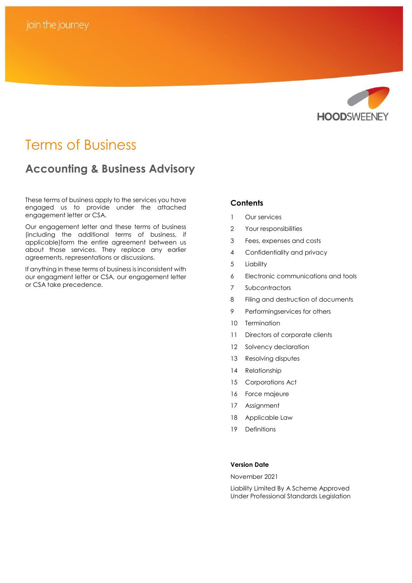

# Terms of Business

# **Accounting & Business Advisory**

These terms of business apply to the services you have engaged us to provide under the attached engagement letter or CSA.

Our engagement letter and these terms of business (including the additional terms of business, if applicable)form the entire agreement between us about those services. They replace any earlier agreements, representations or discussions.

If anything in these terms of business is inconsistent with our engagment letter or CSA, our engagement letter or CSA take precedence.

# **Contents**

- 1 Our services
- 2 Your responsibilities
- 3 Fees, expenses and costs
- 4 Confidentiality and privacy
- 5 Liability
- 6 Electronic communications and tools
- 7 Subcontractors
- 8 Filing and destruction of documents
- 9 Performingservices for others
- 10 Termination
- 11 Directors of corporate clients
- 12 Solvency declaration
- 13 Resolving disputes
- 14 Relationship
- 15 Corporations Act
- 16 Force majeure
- 17 Assignment
- 18 Applicable Law
- 19 Definitions

### **Version Date**

November 2021

Liability Limited By A Scheme Approved Under Professional Standards Legislation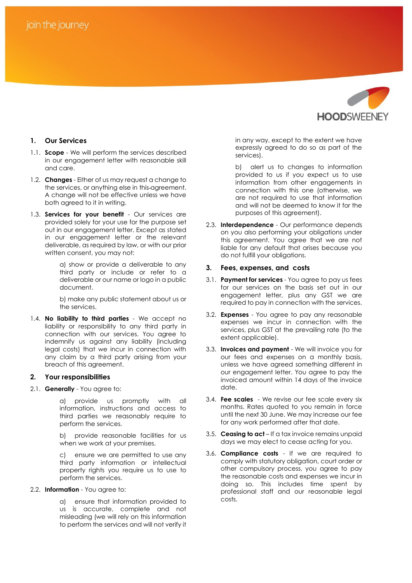

# **1. Our Services**

- 1.1. **Scope** We will perform the services described in our engagement letter with reasonable skill and care.
- 1.2. **Changes** Either of us may request a change to the services, or anything else in this agreement. A change will not be effective unless we have both agreed to it in writing.
- 1.3. **Services for your benefit** Our services are provided solely for your use for the purpose set out in our engagement letter. Except as stated in our engagement letter or the relevant deliverable, as required by law, or with our prior written consent, you may not:

a) show or provide a deliverable to any third party or include or refer to a deliverable or our name or logo in a public document.

b) make any public statement about us or the services.

1.4. **No liability to third parties** - We accept no liability or responsibility to any third party in connection with our services. You agree to indemnify us against any liability (including legal costs) that we incur in connection with any claim by a third party arising from your breach of this agreement.

#### **2. Your responsibilities**

2.1. **Generally** - You agree to:

a) provide us promptly with all information, instructions and access to third parties we reasonably require to perform the services.

b) provide reasonable facilities for us when we work at your premises.

c) ensure we are permitted to use any third party information or intellectual property rights you require us to use to perform the services.

2.2. **Information** - You agree to:

a) ensure that information provided to us is accurate, complete and not misleading (we will rely on this information to perform the services and will not verify it in any way, except to the extent we have expressly agreed to do so as part of the services).

b) alert us to changes to information provided to us if you expect us to use information from other engagements in connection with this one (otherwise, we are not required to use that information and will not be deemed to know it for the purposes of this agreement).

2.3. **Interdependence** - Our performance depends on you also performing your obligations under this agreement. You agree that we are not liable for any default that arises because you do not fulfill your obligations.

#### **3. Fees, expenses, and costs**

- 3.1. **Payment for services** You agree to pay us fees for our services on the basis set out in our engagement letter, plus any GST we are required to pay in connection with the services.
- 3.2. **Expenses** You agree to pay any reasonable expenses we incur in connection with the services, plus GST at the prevailing rate (to the extent applicable).
- 3.3. **Invoices and payment** We will invoice you for our fees and expenses on a monthly basis, unless we have agreed something different in our engagement letter. You agree to pay the invoiced amount within 14 days of the invoice date.
- 3.4. **Fee scales** We revise our fee scale every six months. Rates quoted to you remain in force until the next 30 June. We may increase our fee for any work performed after that date.
- 3.5. **Ceasing to act**  If a tax invoice remains unpaid days we may elect to cease acting for you.
- 3.6. **Compliance costs** If we are required to comply with statutory obligation, court order or other compulsory process, you agree to pay the reasonable costs and expenses we incur in doing so. This includes time spent by professional staff and our reasonable legal costs.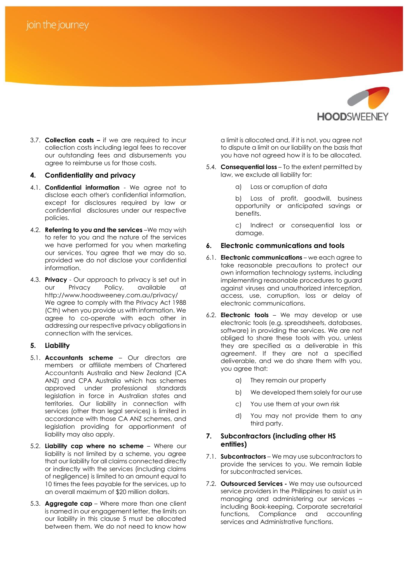

3.7. **Collection costs –** if we are required to incur collection costs including legal fees to recover our outstanding fees and disbursements you agree to reimburse us for those costs.

#### **4. Confidentiality and privacy**

- 4.1. **Confidential information** We agree not to disclose each other's confidential information, except for disclosures required by law or confidential disclosures under our respective policies.
- 4.2. **Referring to you and the services** –We may wish to refer to you and the nature of the services we have performed for you when marketing our services. You agree that we may do so, provided we do not disclose your confidential information.
- 4.3. **Privacy** Our approach to privacy is set out in our Privacy Policy, available at http://www.hoodsweeney.com.au/privacy/ We agree to comply with the Privacy Act 1988 (Cth) when you provide us with information. We agree to co-operate with each other in addressing our respective privacy obligations in connection with the services.

# **5. Liability**

- 5.1. **Accountants scheme** Our directors are members or affiliate members of Chartered Accountants Australia and New Zealand (CA ANZ) and CPA Australia which has schemes approved under professional standards legislation in force in Australian states and territories. Our liability in connection with services (other than legal services) is limited in accordance with those CA ANZ schemes, and legislation providing for apportionment of liability may also apply.
- 5.2. **Liability cap where no scheme** Where our liability is not limited by a scheme, you agree that our liability for all claims connected directly or indirectly with the services (including claims of negligence) is limited to an amount equal to 10 times the fees payable for the services, up to an overall maximum of \$20 million dollars.
- 5.3. **Aggregate cap** Where more than one client is named in our engagement letter, the limits on our liability in this clause 5 must be allocated between them. We do not need to know how

a limit is allocated and, if it is not, you agree not to dispute a limit on our liability on the basis that you have not agreed how it is to be allocated.

- 5.4. **Consequential loss** To the extent permitted by law, we exclude all liability for:
	- a) Loss or corruption of data

b) Loss of profit, goodwill, business opportunity or anticipated savings or benefits.

c) Indirect or consequential loss or damage.

# **6. Electronic communications and tools**

- 6.1. **Electronic communications** we each agree to take reasonable precautions to protect our own information technology systems, including implementing reasonable procedures to guard against viruses and unauthorized interception, access, use, corruption, loss or delay of electronic communications.
- 6.2. **Electronic tools** We may develop or use electronic tools (e.g. spreadsheets, databases, software) in providing the services. We are not obliged to share these tools with you, unless they are specified as a deliverable in this agreement. If they are not a specified deliverable, and we do share them with you, you agree that:
	- a) They remain our property
	- b) We developed them solely for our use
	- c) You use them at your own risk
	- d) You may not provide them to any third party.

#### **7. Subcontractors (including other HS entities)**

- 7.1. **Subcontractors** We may use subcontractors to provide the services to you. We remain liable for subcontracted services.
- 7.2. **Outsourced Services -** We may use outsourced service providers in the Philippines to assist us in managing and administering our services – including Book-keeping, Corporate secretarial functions, Compliance and accounting services and Administrative functions.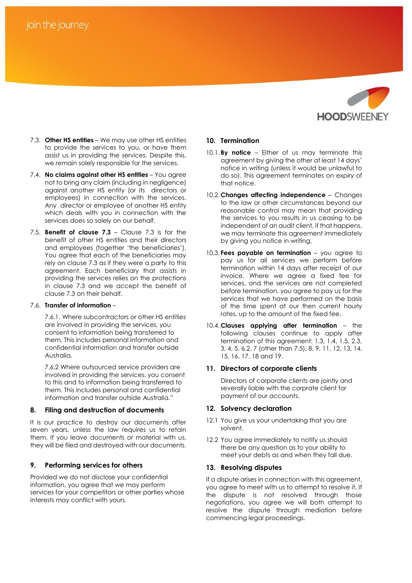# join the journey



- 7.3. **Other HS entities** We may use other HS entities to provide the services to you, or have them assist us in providing the services. Despite this, we remain solely responsible for the services.
- 7.4. **No claims against other HS entities** You agree not to bring any claim (including in negligence) against another HS entity (or its directors or employees) in connection with the services. Any director or employee of another HS entity which deals with you in connection with the services does so solely on our behalf.
- 7.5. **Benefit of clause 7.3** Clause 7.3 is for the benefit of other HS entities and their directors and employees (together 'the beneficiaries'). You agree that each of the beneficiaries may rely on clause 7.3 as if they were a party to this agreement. Each beneficiary that assists in providing the services relies on the protections in clause 7.3 and we accept the benefit of clause 7.3 on their behalf.

#### 7.6. **Transfer of information** –

7.6.1. Where subcontractors or other HS entities are involved in providing the services, you consent to information being transferred to them. This includes personal information and confidential information and transfer outside Australia.

7.6.2 Where outsourced service providers are involved in providing the services, you consent to this and to information being transferred to them. This includes personal and confidential information and transfer outside Australia."

#### **8. Filing and destruction of documents**

It is our practice to destroy our documents after seven years, unless the law requires us to retain them. If you leave documents or material with us, they will be filed and destroyed with our documents.

# **9. Performing services for others**

Provided we do not disclose your confidential information, you agree that we may perform services for your competitors or other parties whose interests may conflict with yours.

#### **10. Termination**

- 10.1.**By notice** Either of us may terminate this agreement by giving the other at least 14 days' notice in writing (unless it would be unlawful to do so). This agreement terminates on expiry of that notice.
- 10.2.**Changes affecting independence** Changes to the law or other circumstances beyond our reasonable control may mean that providing the services to you results in us ceasing to be independent of an audit client, if that happens, we may terminate this agreement immediately by giving you notice in writing.
- 10.3. **Fees payable on termination** you agree to pay us for all services we perform before termination within 14 days after receipt of our invoice. Where we agree a fixed fee for services, and the services are not completed before termination, you agree to pay us for the services that we have performed on the basis of the time spent at our then current hourly rates, up to the amount of the fixed fee.
- 10.4.**Clauses applying after termination** the following clauses continue to apply after termination of this agreement: 1.3, 1.4, 1.5, 2.3, 3, 4, 5, 6.2, 7 (other than 7.5), 8, 9, 11, 12, 13, 14, 15, 16, 17, 18 and 19.

#### **11. Directors of corporate clients**

Directors of corporate clients are jointly and severally liable with the corprate client for payment of our accounts.

#### **12. Solvency declaration**

- 12.1 You give us your undertaking that you are solvent.
- 12.2 You agree immediately to notify us should there be any question as to your ability to meet your debts as and when they fall due.

#### **13. Resolving disputes**

If a dispute arises in connection with this agreement, you agree to meet with us to attempt to resolve it. If the dispute is not resolved through those negotiations, you agree we will both attempt to resolve the dispute through mediation before commencing legal proceedings.